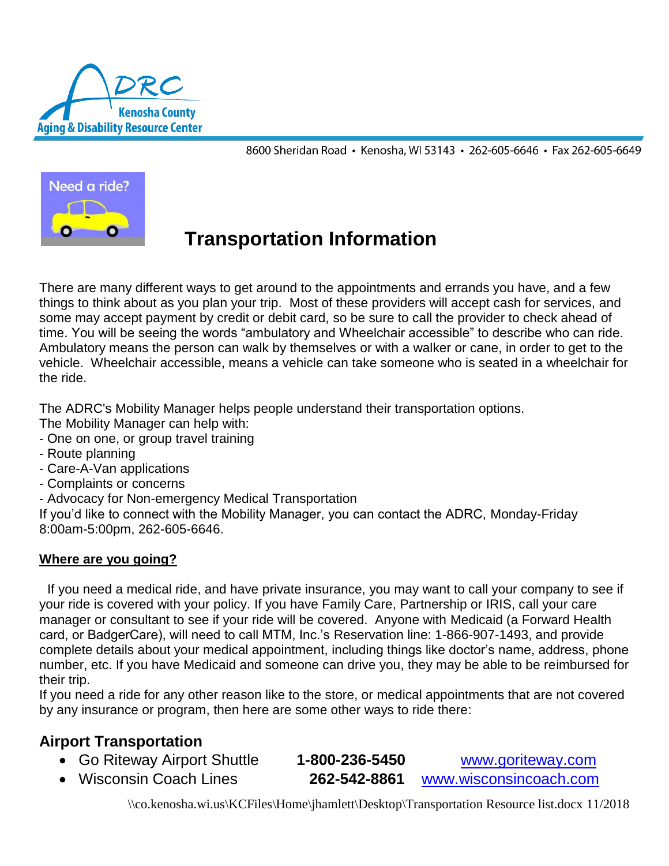

Need a ride?

8600 Sheridan Road • Kenosha, WI 53143 • 262-605-6646 • Fax 262-605-6649

# **Transportation Information**

There are many different ways to get around to the appointments and errands you have, and a few things to think about as you plan your trip. Most of these providers will accept cash for services, and some may accept payment by credit or debit card, so be sure to call the provider to check ahead of time. You will be seeing the words "ambulatory and Wheelchair accessible" to describe who can ride. Ambulatory means the person can walk by themselves or with a walker or cane, in order to get to the vehicle. Wheelchair accessible, means a vehicle can take someone who is seated in a wheelchair for the ride.

The ADRC's Mobility Manager helps people understand their transportation options.

The Mobility Manager can help with:

- One on one, or group travel training
- Route planning
- Care-A-Van applications
- Complaints or concerns
- Advocacy for Non-emergency Medical Transportation

If you'd like to connect with the Mobility Manager, you can contact the ADRC, Monday-Friday 8:00am-5:00pm, 262-605-6646.

## **Where are you going?**

If you need a medical ride, and have private insurance, you may want to call your company to see if your ride is covered with your policy. If you have Family Care, Partnership or IRIS, call your care manager or consultant to see if your ride will be covered. Anyone with Medicaid (a Forward Health card, or BadgerCare), will need to call MTM, Inc.'s Reservation line: 1-866-907-1493, and provide complete details about your medical appointment, including things like doctor's name, address, phone number, etc. If you have Medicaid and someone can drive you, they may be able to be reimbursed for their trip.

If you need a ride for any other reason like to the store, or medical appointments that are not covered by any insurance or program, then here are some other ways to ride there:

## **Airport Transportation**

- Go Riteway Airport Shuttle **1-800-236-5450** [www.goriteway.com](http://www.goriteway.com/)
- Wisconsin Coach Lines **262-542-8861** [www.wisconsincoach.com](http://www.wisconsincoach.com/)

\\co.kenosha.wi.us\KCFiles\Home\jhamlett\Desktop\Transportation Resource list.docx 11/2018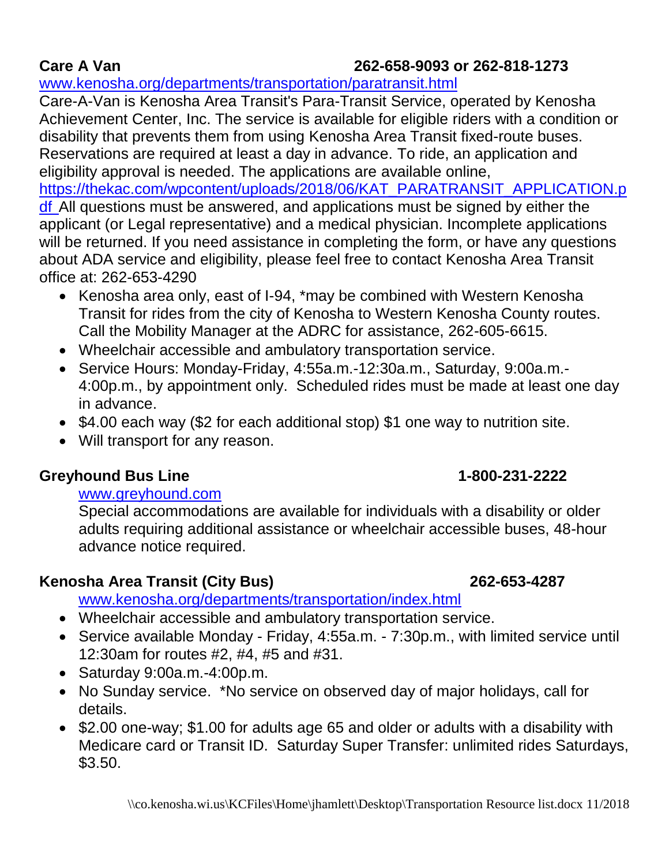## **Care A Van 262-658-9093 or 262-818-1273**

## [www.kenosha.org/departments/transportation/paratransit.html](http://www.kenosha.org/departments/transportation/paratransit.html)

Care-A-Van is Kenosha Area Transit's Para-Transit Service, operated by Kenosha Achievement Center, Inc. The service is available for eligible riders with a condition or disability that prevents them from using Kenosha Area Transit fixed-route buses. Reservations are required at least a day in advance. To ride, an application and eligibility approval is needed. The applications are available online,

[https://thekac.com/wpcontent/uploads/2018/06/KAT\\_PARATRANSIT\\_APPLICATION.p](https://thekac.com/wpcontent/uploads/2018/06/KAT_PARATRANSIT_APPLICATION.pdf) [df](https://thekac.com/wpcontent/uploads/2018/06/KAT_PARATRANSIT_APPLICATION.pdf) All questions must be answered, and applications must be signed by either the applicant (or Legal representative) and a medical physician. Incomplete applications will be returned. If you need assistance in completing the form, or have any questions about ADA service and eligibility, please feel free to contact Kenosha Area Transit office at: 262-653-4290

- Kenosha area only, east of I-94, \*may be combined with Western Kenosha Transit for rides from the city of Kenosha to Western Kenosha County routes. Call the Mobility Manager at the ADRC for assistance, 262-605-6615.
- Wheelchair accessible and ambulatory transportation service.
- Service Hours: Monday-Friday, 4:55a.m.-12:30a.m., Saturday, 9:00a.m.- 4:00p.m., by appointment only. Scheduled rides must be made at least one day in advance.
- \$4.00 each way (\$2 for each additional stop) \$1 one way to nutrition site.
- Will transport for any reason.

# **Greyhound Bus Line 1-800-231-2222**

## [www.greyhound.com](http://www.greyhound.com/)

Special accommodations are available for individuals with a disability or older adults requiring additional assistance or wheelchair accessible buses, 48-hour advance notice required.

## **Kenosha Area Transit (City Bus) 262-653-4287**

## [www.kenosha.org/departments/transportation/index.html](http://www.kenosha.org/departments/transportation/index.html)

- Wheelchair accessible and ambulatory transportation service.
- Service available Monday Friday, 4:55a.m. 7:30p.m., with limited service until 12:30am for routes #2, #4, #5 and #31.
- Saturday 9:00a.m.-4:00p.m.
- No Sunday service. \*No service on observed day of major holidays, call for details.
- \$2.00 one-way; \$1.00 for adults age 65 and older or adults with a disability with Medicare card or Transit ID. Saturday Super Transfer: unlimited rides Saturdays, \$3.50.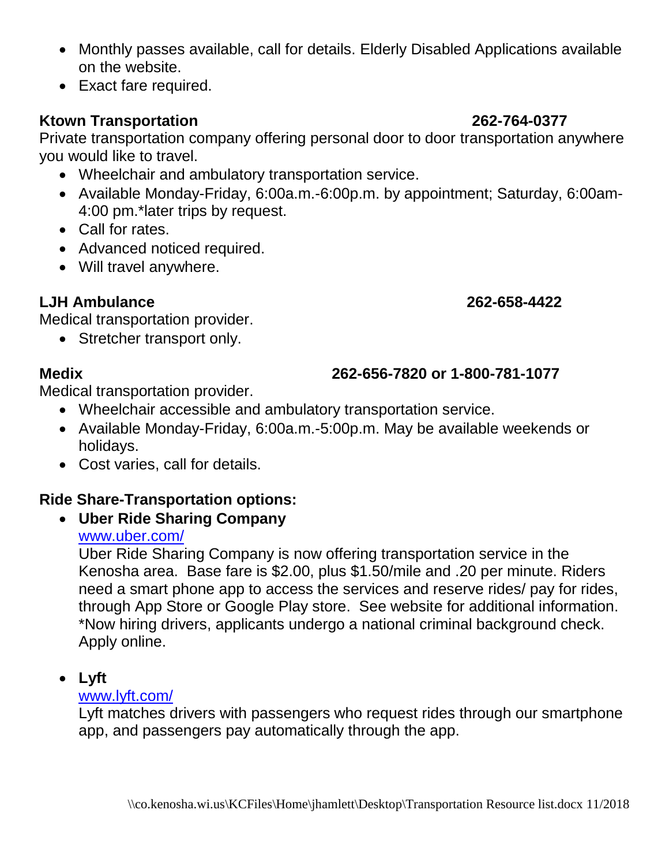- Monthly passes available, call for details. Elderly Disabled Applications available on the website.
- Exact fare required.

## **Ktown Transportation 262-764-0377**

Private transportation company offering personal door to door transportation anywhere you would like to travel.

- Wheelchair and ambulatory transportation service.
- Available Monday-Friday, 6:00a.m.-6:00p.m. by appointment; Saturday, 6:00am-4:00 pm.\*later trips by request.
- Call for rates.
- Advanced noticed required.
- Will travel anywhere.

# **LJH Ambulance 262-658-4422**

Medical transportation provider.

• Stretcher transport only.

Medical transportation provider.

- Wheelchair accessible and ambulatory transportation service.
- Available Monday-Friday, 6:00a.m.-5:00p.m. May be available weekends or holidays.
- Cost varies, call for details.

# **Ride Share-Transportation options:**

• **Uber Ride Sharing Company** [www.uber.com/](http://www.uber.com/)

Uber Ride Sharing Company is now offering transportation service in the Kenosha area. Base fare is \$2.00, plus \$1.50/mile and .20 per minute. Riders need a smart phone app to access the services and reserve rides/ pay for rides, through App Store or Google Play store. See website for additional information. \*Now hiring drivers, applicants undergo a national criminal background check. Apply online.

• **Lyft** 

## [www.lyft.com/](http://www.lyft.com/)

Lyft matches drivers with passengers who request rides through our smartphone app, and passengers pay automatically through the app.

# **Medix 262-656-7820 or 1-800-781-1077**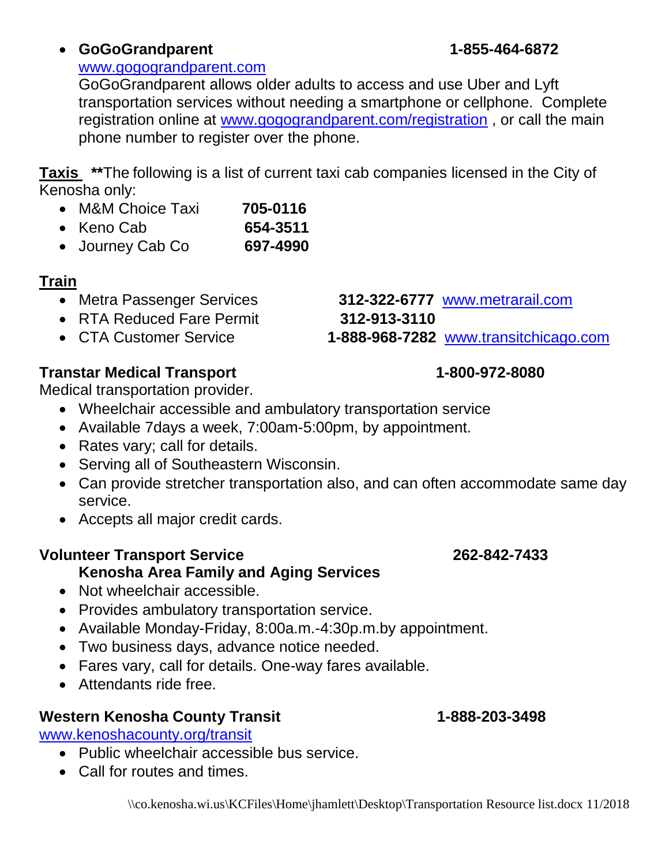## • **GoGoGrandparent 1-855-464-6872**

## [www.gogograndparent.com](http://www.gogograndparent.com/)

GoGoGrandparent allows older adults to access and use Uber and Lyft transportation services without needing a smartphone or cellphone. Complete registration online at [www.gogograndparent.com/registration](http://www.gogograndparent.com/registration) , or call the main phone number to register over the phone.

**Taxis \*\***The following is a list of current taxi cab companies licensed in the City of Kenosha only:

- M&M Choice Taxi **705-0116**
- Keno Cab **654-3511**
- Journey Cab Co **697-4990**

## **Train**

- Metra Passenger Services **312-322-6777** [www.metrarail.com](http://www.metrarail.com/)
- RTA Reduced Fare Permit **312-913-3110**
- CTA Customer Service **1-888-968-7282** [www.transitchicago.com](http://www.transitchicago.com/)

## **Transtar Medical Transport 1-800-972-8080**

Medical transportation provider.

- Wheelchair accessible and ambulatory transportation service
- Available 7days a week, 7:00am-5:00pm, by appointment.
- Rates vary; call for details.
- Serving all of Southeastern Wisconsin.
- Can provide stretcher transportation also, and can often accommodate same day service.
- Accepts all major credit cards.

## **Volunteer Transport Service 262-842-7433**

## **Kenosha Area Family and Aging Services**

- Not wheelchair accessible.
- Provides ambulatory transportation service.
- Available Monday-Friday, 8:00a.m.-4:30p.m.by appointment.
- Two business days, advance notice needed.
- Fares vary, call for details. One-way fares available.
- Attendants ride free.

## **Western Kenosha County Transit 1-888-203-3498**

[www.kenoshacounty.org/transit](http://www.kenoshacounty.org/transit)

- Public wheelchair accessible bus service.
- Call for routes and times.